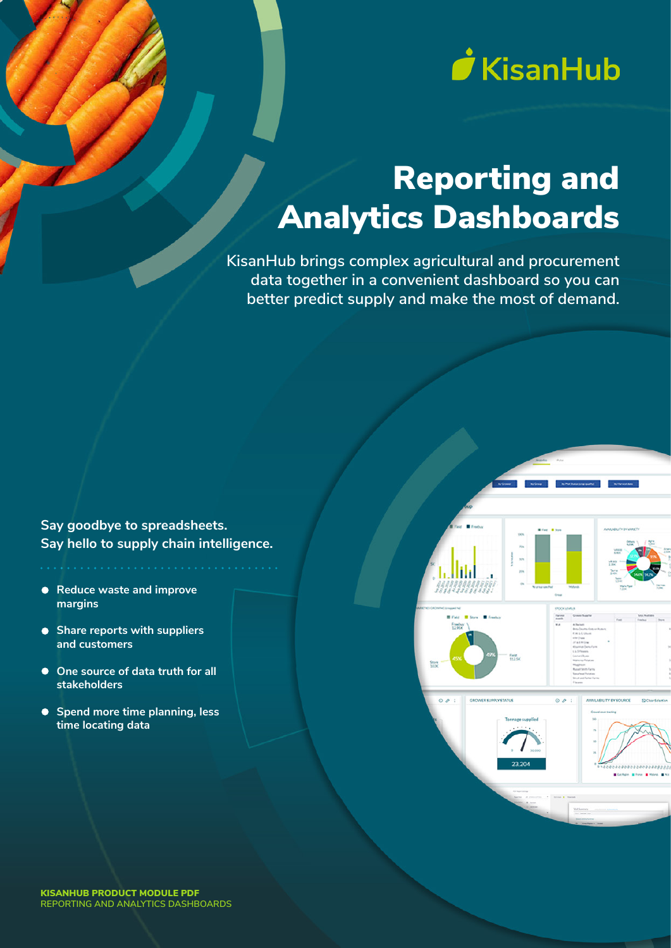

# Reporting and Analytics Dashboards

**KisanHub brings complex agricultural and procurement data together in a convenient dashboard so you can better predict supply and make the most of demand.**

**Say goodbye to spreadsheets. Say hello to supply chain intelligence.**

- **Reduce waste and improve margins**
- **Share reports with suppliers and customers**
- **One source of data truth for all stakeholders**
- **Spend more time planning, less time locating data**

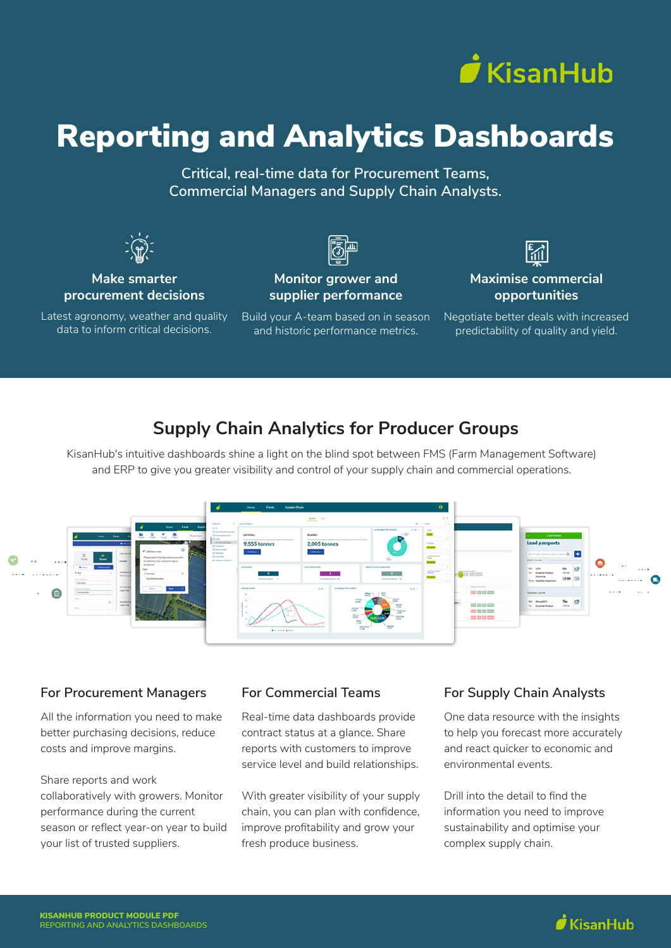

## Reporting and Analytics Dashboards

**Critical, real-time data for Procurement Teams, Commercial Managers and Supply Chain Analysts.**



#### **Make smarter procurement decisions**

Latest agronomy, weather and quality data to inform critical decisions.

**Monitor grower and supplier performance**

Build your A-team based on in season and historic performance metrics.



#### **Maximise commercial opportunities**

Negotiate better deals with increased predictability of quality and yield.

## **Supply Chain Analytics for Producer Groups**

KisanHub's intuitive dashboards shine a light on the blind spot between FMS (Farm Management Software) and ERP to give you greater visibility and control of your supply chain and commercial operations.



#### **For Procurement Managers**

All the information you need to make better purchasing decisions, reduce costs and improve margins.

Share reports and work collaboratively with growers. Monitor performance during the current season or reflect year-on year to build your list of trusted suppliers.

#### **For Commercial Teams**

Real-time data dashboards provide contract status at a glance. Share reports with customers to improve service level and build relationships.

With greater visibility of your supply chain, you can plan with confidence, improve profitability and grow your fresh produce business.

#### **For Supply Chain Analysts**

One data resource with the insights to help you forecast more accurately and react quicker to economic and environmental events.

Drill into the detail to find the information you need to improve sustainability and optimise your complex supply chain.

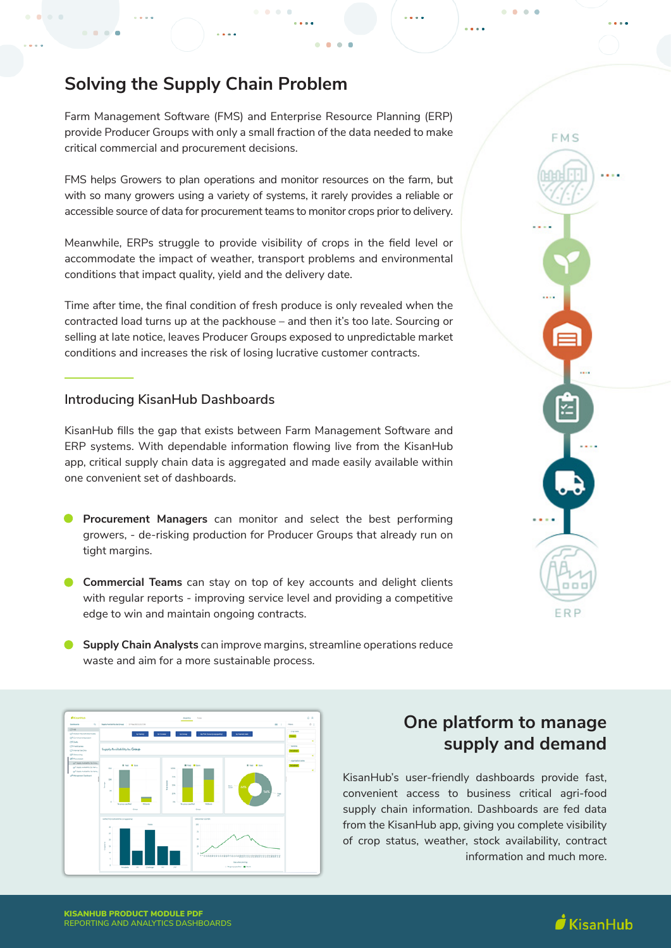## **Solving the Supply Chain Problem**

 $\mathbf{a} \cdot \mathbf{a}$ ×

Farm Management Software (FMS) and Enterprise Resource Planning (ERP) provide Producer Groups with only a small fraction of the data needed to make critical commercial and procurement decisions.

FMS helps Growers to plan operations and monitor resources on the farm, but with so many growers using a variety of systems, it rarely provides a reliable or accessible source of data for procurement teams to monitor crops prior to delivery.

Meanwhile, ERPs struggle to provide visibility of crops in the field level or accommodate the impact of weather, transport problems and environmental conditions that impact quality, yield and the delivery date.

Time after time, the final condition of fresh produce is only revealed when the contracted load turns up at the packhouse – and then it's too late. Sourcing or selling at late notice, leaves Producer Groups exposed to unpredictable market conditions and increases the risk of losing lucrative customer contracts.

#### **Introducing KisanHub Dashboards**

KisanHub fills the gap that exists between Farm Management Software and ERP systems. With dependable information flowing live from the KisanHub app, critical supply chain data is aggregated and made easily available within one convenient set of dashboards.

- **Procurement Managers** can monitor and select the best performing growers, - de-risking production for Producer Groups that already run on tight margins.
- **Commercial Teams** can stay on top of key accounts and delight clients with regular reports - improving service level and providing a competitive edge to win and maintain ongoing contracts.
- **Supply Chain Analysts** can improve margins, streamline operations reduce waste and aim for a more sustainable process.



**REPORTING AND ANALYTICS DASHBOARDS**

## **One platform to manage supply and demand**

KisanHub's user-friendly dashboards provide fast, convenient access to business critical agri-food supply chain information. Dashboards are fed data from the KisanHub app, giving you complete visibility of crop status, weather, stock availability, contract information and much more.



 $\sim$ 

 $\dot{I}$ KisanHub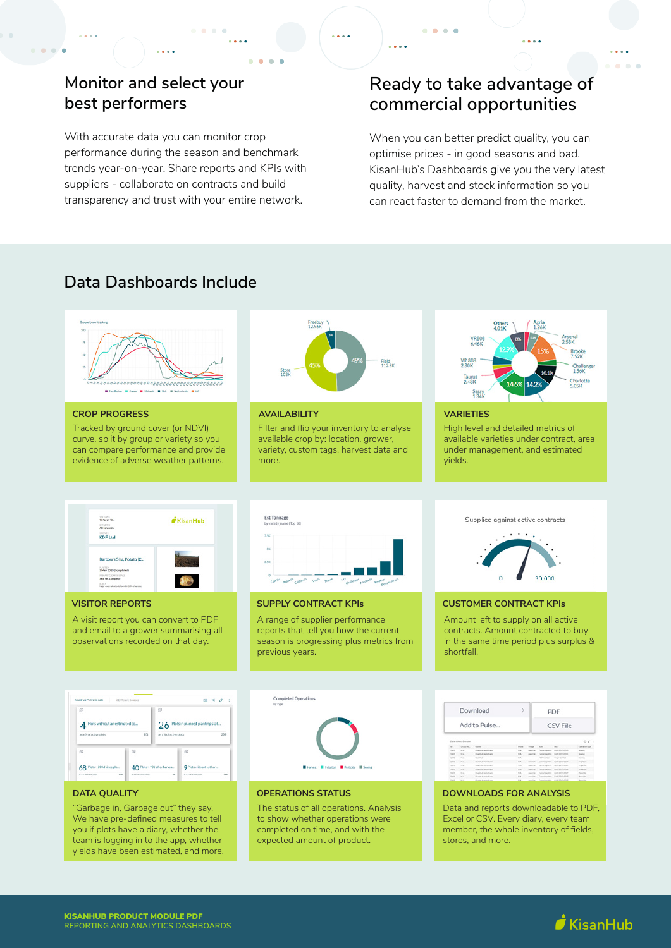## **Monitor and select your best performers**

With accurate data you can monitor crop performance during the season and benchmark trends year-on-year. Share reports and KPIs with suppliers - collaborate on contracts and build transparency and trust with your entire network.

## **Ready to take advantage of commercial opportunities**

 $-0.000$ 

 $\sim$   $\sim$   $\sim$ 

When you can better predict quality, you can optimise prices - in good seasons and bad. KisanHub's Dashboards give you the very latest quality, harvest and stock information so you can react faster to demand from the market.

## **Data Dashboards Include**



## $\dot{I}$  KisanHub